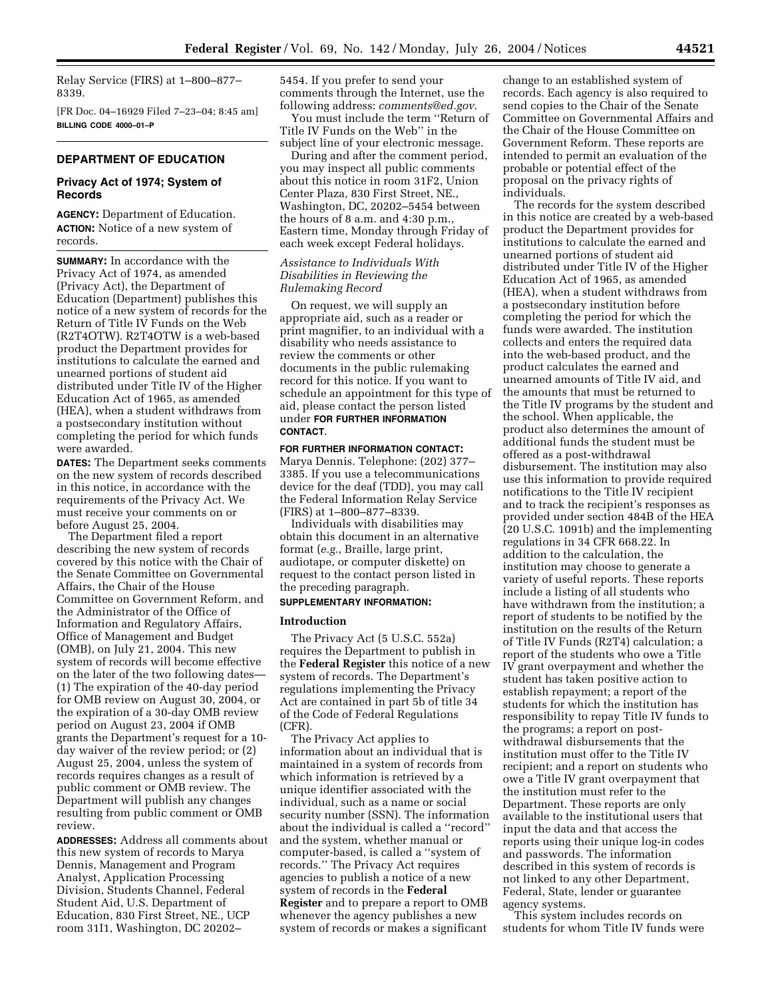Relay Service (FIRS) at 1–800–877– 8339.

[FR Doc. 04–16929 Filed 7–23–04; 8:45 am] **BILLING CODE 4000–01–P** 

# **DEPARTMENT OF EDUCATION**

## **Privacy Act of 1974; System of Records**

**AGENCY:** Department of Education. **ACTION:** Notice of a new system of records.

**SUMMARY:** In accordance with the Privacy Act of 1974, as amended (Privacy Act), the Department of Education (Department) publishes this notice of a new system of records for the Return of Title IV Funds on the Web (R2T4OTW). R2T4OTW is a web-based product the Department provides for institutions to calculate the earned and unearned portions of student aid distributed under Title IV of the Higher Education Act of 1965, as amended (HEA), when a student withdraws from a postsecondary institution without completing the period for which funds were awarded.

**DATES:** The Department seeks comments on the new system of records described in this notice, in accordance with the requirements of the Privacy Act. We must receive your comments on or before August 25, 2004.

The Department filed a report describing the new system of records covered by this notice with the Chair of the Senate Committee on Governmental Affairs, the Chair of the House Committee on Government Reform, and the Administrator of the Office of Information and Regulatory Affairs, Office of Management and Budget (OMB), on July 21, 2004. This new system of records will become effective on the later of the two following dates— (1) The expiration of the 40-day period for OMB review on August 30, 2004, or the expiration of a 30-day OMB review period on August 23, 2004 if OMB grants the Department's request for a 10 day waiver of the review period; or (2) August 25, 2004, unless the system of records requires changes as a result of public comment or OMB review. The Department will publish any changes resulting from public comment or OMB review.

**ADDRESSES:** Address all comments about this new system of records to Marya Dennis, Management and Program Analyst, Application Processing Division, Students Channel, Federal Student Aid, U.S. Department of Education, 830 First Street, NE., UCP room 31I1, Washington, DC 20202–

5454. If you prefer to send your comments through the Internet, use the following address: *comments@ed.gov*.

You must include the term ''Return of Title IV Funds on the Web'' in the subject line of your electronic message.

During and after the comment period, you may inspect all public comments about this notice in room 31F2, Union Center Plaza, 830 First Street, NE., Washington, DC, 20202–5454 between the hours of 8 a.m. and 4:30 p.m., Eastern time, Monday through Friday of each week except Federal holidays.

# *Assistance to Individuals With Disabilities in Reviewing the Rulemaking Record*

On request, we will supply an appropriate aid, such as a reader or print magnifier, to an individual with a disability who needs assistance to review the comments or other documents in the public rulemaking record for this notice. If you want to schedule an appointment for this type of aid, please contact the person listed under **FOR FURTHER INFORMATION CONTACT**.

## **FOR FURTHER INFORMATION CONTACT:**

Marya Dennis. Telephone: (202) 377– 3385. If you use a telecommunications device for the deaf (TDD), you may call the Federal Information Relay Service (FIRS) at 1–800–877–8339.

Individuals with disabilities may obtain this document in an alternative format (*e.g.*, Braille, large print, audiotape, or computer diskette) on request to the contact person listed in the preceding paragraph.

# **SUPPLEMENTARY INFORMATION:**

## **Introduction**

The Privacy Act (5 U.S.C. 552a) requires the Department to publish in the **Federal Register** this notice of a new system of records. The Department's regulations implementing the Privacy Act are contained in part 5b of title 34 of the Code of Federal Regulations (CFR).

The Privacy Act applies to information about an individual that is maintained in a system of records from which information is retrieved by a unique identifier associated with the individual, such as a name or social security number (SSN). The information about the individual is called a ''record'' and the system, whether manual or computer-based, is called a ''system of records.'' The Privacy Act requires agencies to publish a notice of a new system of records in the **Federal Register** and to prepare a report to OMB whenever the agency publishes a new system of records or makes a significant

change to an established system of records. Each agency is also required to send copies to the Chair of the Senate Committee on Governmental Affairs and the Chair of the House Committee on Government Reform. These reports are intended to permit an evaluation of the probable or potential effect of the proposal on the privacy rights of individuals.

The records for the system described in this notice are created by a web-based product the Department provides for institutions to calculate the earned and unearned portions of student aid distributed under Title IV of the Higher Education Act of 1965, as amended (HEA), when a student withdraws from a postsecondary institution before completing the period for which the funds were awarded. The institution collects and enters the required data into the web-based product, and the product calculates the earned and unearned amounts of Title IV aid, and the amounts that must be returned to the Title IV programs by the student and the school. When applicable, the product also determines the amount of additional funds the student must be offered as a post-withdrawal disbursement. The institution may also use this information to provide required notifications to the Title IV recipient and to track the recipient's responses as provided under section 484B of the HEA (20 U.S.C. 1091b) and the implementing regulations in 34 CFR 668.22. In addition to the calculation, the institution may choose to generate a variety of useful reports. These reports include a listing of all students who have withdrawn from the institution; a report of students to be notified by the institution on the results of the Return of Title IV Funds (R2T4) calculation; a report of the students who owe a Title IV grant overpayment and whether the student has taken positive action to establish repayment; a report of the students for which the institution has responsibility to repay Title IV funds to the programs; a report on postwithdrawal disbursements that the institution must offer to the Title IV recipient; and a report on students who owe a Title IV grant overpayment that the institution must refer to the Department. These reports are only available to the institutional users that input the data and that access the reports using their unique log-in codes and passwords. The information described in this system of records is not linked to any other Department, Federal, State, lender or guarantee agency systems.

This system includes records on students for whom Title IV funds were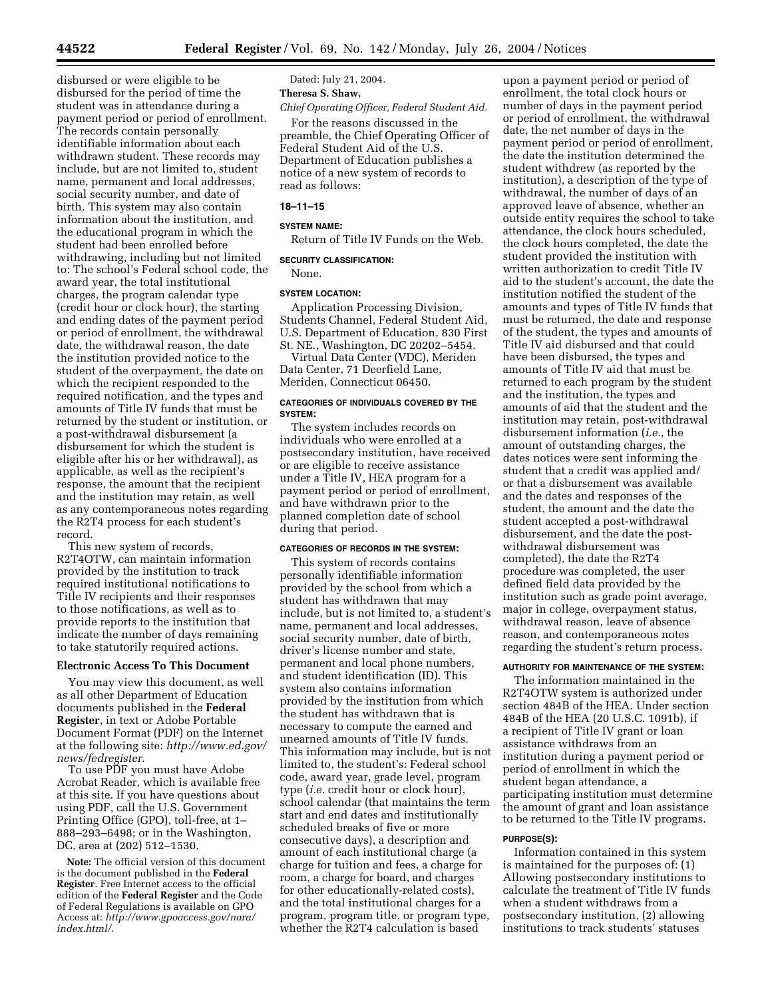disbursed or were eligible to be disbursed for the period of time the student was in attendance during a payment period or period of enrollment. The records contain personally identifiable information about each withdrawn student. These records may include, but are not limited to, student name, permanent and local addresses, social security number, and date of birth. This system may also contain information about the institution, and the educational program in which the student had been enrolled before withdrawing, including but not limited to: The school's Federal school code, the award year, the total institutional charges, the program calendar type (credit hour or clock hour), the starting and ending dates of the payment period or period of enrollment, the withdrawal date, the withdrawal reason, the date the institution provided notice to the student of the overpayment, the date on which the recipient responded to the required notification, and the types and amounts of Title IV funds that must be returned by the student or institution, or a post-withdrawal disbursement (a disbursement for which the student is eligible after his or her withdrawal), as applicable, as well as the recipient's response, the amount that the recipient and the institution may retain, as well as any contemporaneous notes regarding the R2T4 process for each student's record.

This new system of records, R2T4OTW, can maintain information provided by the institution to track required institutional notifications to Title IV recipients and their responses to those notifications, as well as to provide reports to the institution that indicate the number of days remaining to take statutorily required actions.

## **Electronic Access To This Document**

You may view this document, as well as all other Department of Education documents published in the **Federal Register**, in text or Adobe Portable Document Format (PDF) on the Internet at the following site: *http://www.ed.gov/ news/fedregister*.

To use PDF you must have Adobe Acrobat Reader, which is available free at this site. If you have questions about using PDF, call the U.S. Government Printing Office (GPO), toll-free, at 1– 888–293–6498; or in the Washington, DC, area at (202) 512–1530.

**Note:** The official version of this document is the document published in the **Federal Register**. Free Internet access to the official edition of the **Federal Register** and the Code of Federal Regulations is available on GPO Access at: *http://www.gpoaccess.gov/nara/ index.html/.* 

Dated: July 21, 2004.

# **Theresa S. Shaw,**

*Chief Operating Officer, Federal Student Aid.* 

For the reasons discussed in the preamble, the Chief Operating Officer of Federal Student Aid of the U.S. Department of Education publishes a notice of a new system of records to read as follows:

## **18–11–15**

#### **SYSTEM NAME:**

Return of Title IV Funds on the Web.

#### **SECURITY CLASSIFICATION:**

None.

#### **SYSTEM LOCATION:**

Application Processing Division, Students Channel, Federal Student Aid, U.S. Department of Education, 830 First St. NE., Washington, DC 20202–5454.

Virtual Data Center (VDC), Meriden Data Center, 71 Deerfield Lane, Meriden, Connecticut 06450.

#### **CATEGORIES OF INDIVIDUALS COVERED BY THE SYSTEM:**

The system includes records on individuals who were enrolled at a postsecondary institution, have received or are eligible to receive assistance under a Title IV, HEA program for a payment period or period of enrollment, and have withdrawn prior to the planned completion date of school during that period.

#### **CATEGORIES OF RECORDS IN THE SYSTEM:**

This system of records contains personally identifiable information provided by the school from which a student has withdrawn that may include, but is not limited to, a student's name, permanent and local addresses, social security number, date of birth, driver's license number and state, permanent and local phone numbers, and student identification (ID). This system also contains information provided by the institution from which the student has withdrawn that is necessary to compute the earned and unearned amounts of Title IV funds. This information may include, but is not limited to, the student's: Federal school code, award year, grade level, program type (*i.e.* credit hour or clock hour), school calendar (that maintains the term start and end dates and institutionally scheduled breaks of five or more consecutive days), a description and amount of each institutional charge (a charge for tuition and fees, a charge for room, a charge for board, and charges for other educationally-related costs), and the total institutional charges for a program, program title, or program type, whether the R2T4 calculation is based

upon a payment period or period of enrollment, the total clock hours or number of days in the payment period or period of enrollment, the withdrawal date, the net number of days in the payment period or period of enrollment, the date the institution determined the student withdrew (as reported by the institution), a description of the type of withdrawal, the number of days of an approved leave of absence, whether an outside entity requires the school to take attendance, the clock hours scheduled, the clock hours completed, the date the student provided the institution with written authorization to credit Title IV aid to the student's account, the date the institution notified the student of the amounts and types of Title IV funds that must be returned, the date and response of the student, the types and amounts of Title IV aid disbursed and that could have been disbursed, the types and amounts of Title IV aid that must be returned to each program by the student and the institution, the types and amounts of aid that the student and the institution may retain, post-withdrawal disbursement information (*i.e.*, the amount of outstanding charges, the dates notices were sent informing the student that a credit was applied and/ or that a disbursement was available and the dates and responses of the student, the amount and the date the student accepted a post-withdrawal disbursement, and the date the postwithdrawal disbursement was completed), the date the R2T4 procedure was completed, the user defined field data provided by the institution such as grade point average, major in college, overpayment status, withdrawal reason, leave of absence reason, and contemporaneous notes regarding the student's return process.

## **AUTHORITY FOR MAINTENANCE OF THE SYSTEM:**

The information maintained in the R2T4OTW system is authorized under section 484B of the HEA. Under section 484B of the HEA (20 U.S.C. 1091b), if a recipient of Title IV grant or loan assistance withdraws from an institution during a payment period or period of enrollment in which the student began attendance, a participating institution must determine the amount of grant and loan assistance to be returned to the Title IV programs.

#### **PURPOSE(S):**

Information contained in this system is maintained for the purposes of: (1) Allowing postsecondary institutions to calculate the treatment of Title IV funds when a student withdraws from a postsecondary institution, (2) allowing institutions to track students' statuses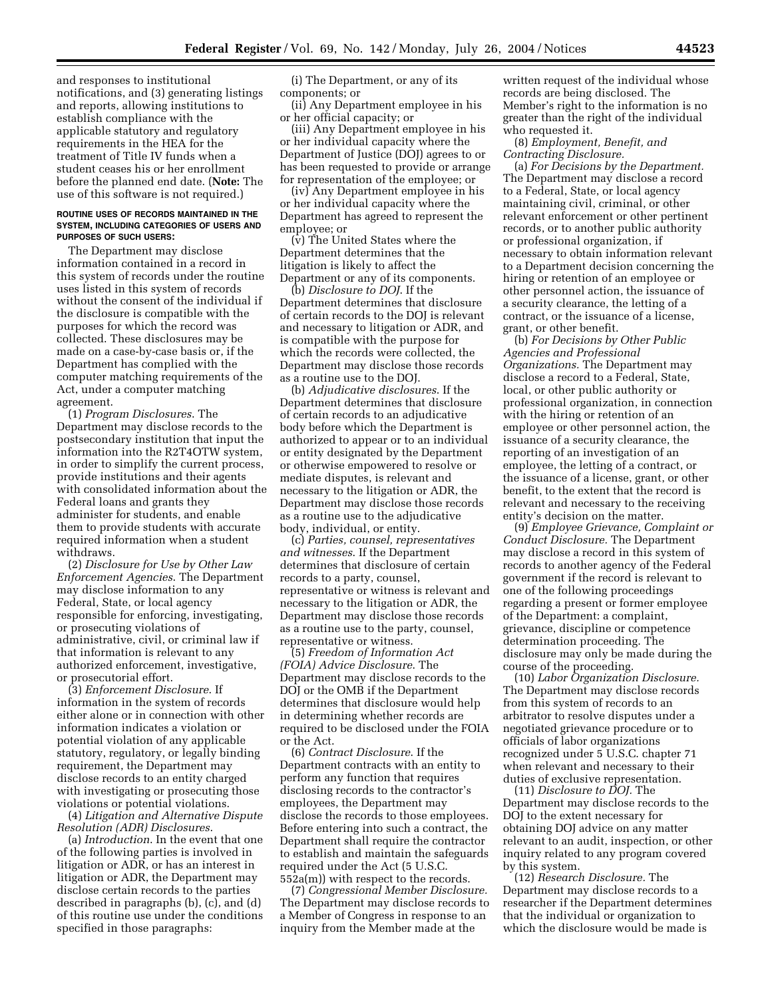and responses to institutional notifications, and (3) generating listings and reports, allowing institutions to establish compliance with the applicable statutory and regulatory requirements in the HEA for the treatment of Title IV funds when a student ceases his or her enrollment before the planned end date. (**Note:** The use of this software is not required.)

#### **ROUTINE USES OF RECORDS MAINTAINED IN THE SYSTEM, INCLUDING CATEGORIES OF USERS AND PURPOSES OF SUCH USERS:**

The Department may disclose information contained in a record in this system of records under the routine uses listed in this system of records without the consent of the individual if the disclosure is compatible with the purposes for which the record was collected. These disclosures may be made on a case-by-case basis or, if the Department has complied with the computer matching requirements of the Act, under a computer matching agreement.

(1) *Program Disclosures*. The Department may disclose records to the postsecondary institution that input the information into the R2T4OTW system, in order to simplify the current process, provide institutions and their agents with consolidated information about the Federal loans and grants they administer for students, and enable them to provide students with accurate required information when a student withdraws.

(2) *Disclosure for Use by Other Law Enforcement Agencies*. The Department may disclose information to any Federal, State, or local agency responsible for enforcing, investigating, or prosecuting violations of administrative, civil, or criminal law if that information is relevant to any authorized enforcement, investigative, or prosecutorial effort.

(3) *Enforcement Disclosure*. If information in the system of records either alone or in connection with other information indicates a violation or potential violation of any applicable statutory, regulatory, or legally binding requirement, the Department may disclose records to an entity charged with investigating or prosecuting those violations or potential violations.

(4) *Litigation and Alternative Dispute Resolution (ADR) Disclosures*.

(a) *Introduction*. In the event that one of the following parties is involved in litigation or ADR, or has an interest in litigation or ADR, the Department may disclose certain records to the parties described in paragraphs (b), (c), and (d) of this routine use under the conditions specified in those paragraphs:

(i) The Department, or any of its components; or

(ii) Any Department employee in his or her official capacity; or

(iii) Any Department employee in his or her individual capacity where the Department of Justice (DOJ) agrees to or has been requested to provide or arrange for representation of the employee; or

(iv) Any Department employee in his or her individual capacity where the Department has agreed to represent the employee; or

(v) The United States where the Department determines that the litigation is likely to affect the Department or any of its components.

(b) *Disclosure to DOJ*. If the Department determines that disclosure of certain records to the DOJ is relevant and necessary to litigation or ADR, and is compatible with the purpose for which the records were collected, the Department may disclose those records as a routine use to the DOJ.

(b) *Adjudicative disclosures*. If the Department determines that disclosure of certain records to an adjudicative body before which the Department is authorized to appear or to an individual or entity designated by the Department or otherwise empowered to resolve or mediate disputes, is relevant and necessary to the litigation or ADR, the Department may disclose those records as a routine use to the adjudicative body, individual, or entity.

(c) *Parties, counsel, representatives and witnesses*. If the Department determines that disclosure of certain records to a party, counsel, representative or witness is relevant and necessary to the litigation or ADR, the Department may disclose those records as a routine use to the party, counsel, representative or witness.

(5) *Freedom of Information Act (FOIA) Advice Disclosure*. The Department may disclose records to the DOJ or the OMB if the Department determines that disclosure would help in determining whether records are required to be disclosed under the FOIA or the Act.

(6) *Contract Disclosure*. If the Department contracts with an entity to perform any function that requires disclosing records to the contractor's employees, the Department may disclose the records to those employees. Before entering into such a contract, the Department shall require the contractor to establish and maintain the safeguards required under the Act (5 U.S.C. 552a(m)) with respect to the records.

(7) *Congressional Member Disclosure.*  The Department may disclose records to a Member of Congress in response to an inquiry from the Member made at the

written request of the individual whose records are being disclosed. The Member's right to the information is no greater than the right of the individual who requested it.

(8) *Employment, Benefit, and Contracting Disclosure.* 

(a) *For Decisions by the Department.*  The Department may disclose a record to a Federal, State, or local agency maintaining civil, criminal, or other relevant enforcement or other pertinent records, or to another public authority or professional organization, if necessary to obtain information relevant to a Department decision concerning the hiring or retention of an employee or other personnel action, the issuance of a security clearance, the letting of a contract, or the issuance of a license, grant, or other benefit.

(b) *For Decisions by Other Public Agencies and Professional Organizations.* The Department may disclose a record to a Federal, State, local, or other public authority or professional organization, in connection with the hiring or retention of an employee or other personnel action, the issuance of a security clearance, the reporting of an investigation of an employee, the letting of a contract, or the issuance of a license, grant, or other benefit, to the extent that the record is relevant and necessary to the receiving entity's decision on the matter.

(9) *Employee Grievance, Complaint or Conduct Disclosure.* The Department may disclose a record in this system of records to another agency of the Federal government if the record is relevant to one of the following proceedings regarding a present or former employee of the Department: a complaint, grievance, discipline or competence determination proceeding. The disclosure may only be made during the course of the proceeding.

(10) *Labor Organization Disclosure.*  The Department may disclose records from this system of records to an arbitrator to resolve disputes under a negotiated grievance procedure or to officials of labor organizations recognized under 5 U.S.C. chapter 71 when relevant and necessary to their duties of exclusive representation.

(11) *Disclosure to DOJ.* The Department may disclose records to the DOJ to the extent necessary for obtaining DOJ advice on any matter relevant to an audit, inspection, or other inquiry related to any program covered by this system.

(12) *Research Disclosure.* The Department may disclose records to a researcher if the Department determines that the individual or organization to which the disclosure would be made is